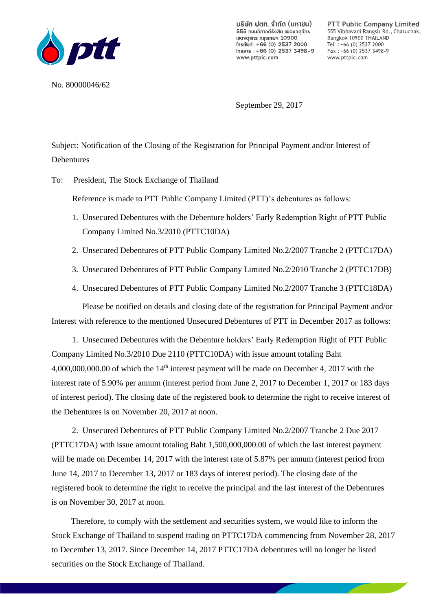

บริษัท ปตท. จำกัด (มหาชน) 555 ถนนวิภาวดีรังสิต แขวงจตจักร เขตจตุจักร กรุงเทพฯ 10900 Insศัพท์: +66 (0) 2537 2000 Insans:  $+66(0)$  2537 3498-9 www.pttplc.com

**PTT Public Company Limited** 555 Vibhavadi Rangsit Rd., Chatuchak, Bangkok 10900 THAILAND Tel  $: +66$  (0) 2537 2000 Fax: +66 (0) 2537 3498-9 www.pttplc.com

the company

No. 80000046/62

September 29, 2017

Subject: Notification of the Closing of the Registration for Principal Payment and/or Interest of **Debentures** 

To: President, The Stock Exchange of Thailand

Reference is made to PTT Public Company Limited (PTT)'s debentures as follows:

- 1. Unsecured Debentures with the Debenture holders' Early Redemption Right of PTT Public Company Limited No.3/2010 (PTTC10DA)
- 2. Unsecured Debentures of PTT Public Company Limited No.2/2007 Tranche 2 (PTTC17DA)
- 3. Unsecured Debentures of PTT Public Company Limited No.2/2010 Tranche 2 (PTTC17DB)
- 4. Unsecured Debentures of PTT Public Company Limited No.2/2007 Tranche 3 (PTTC18DA)

Please be notified on details and closing date of the registration for Principal Payment and/or Interest with reference to the mentioned Unsecured Debentures of PTT in December 2017 as follows:

1. Unsecured Debentures with the Debenture holders' Early Redemption Right of PTT Public Company Limited No.3/2010 Due 2110 (PTTC10DA) with issue amount totaling Baht  $4,000,000,000.00$  of which the  $14<sup>th</sup>$  interest payment will be made on December 4, 2017 with the interest rate of 5.90% per annum (interest period from June 2, 2017 to December 1, 2017 or 183 days of interest period). The closing date of the registered book to determine the right to receive interest of the Debentures is on November 20, 2017 at noon.

2. Unsecured Debentures of PTT Public Company Limited No.2/2007 Tranche 2 Due 2017 (PTTC17DA) with issue amount totaling Baht 1,500,000,000.00 of which the last interest payment will be made on December 14, 2017 with the interest rate of 5.87% per annum (interest period from June 14, 2017 to December 13, 2017 or 183 days of interest period). The closing date of the registered book to determine the right to receive the principal and the last interest of the Debentures is on November 30, 2017 at noon.

Therefore, to comply with the settlement and securities system, we would like to inform the Stock Exchange of Thailand to suspend trading on PTTC17DA commencing from November 28, 2017 to December 13, 2017. Since December 14, 2017 PTTC17DA debentures will no longer be listed securities on the Stock Exchange of Thailand.